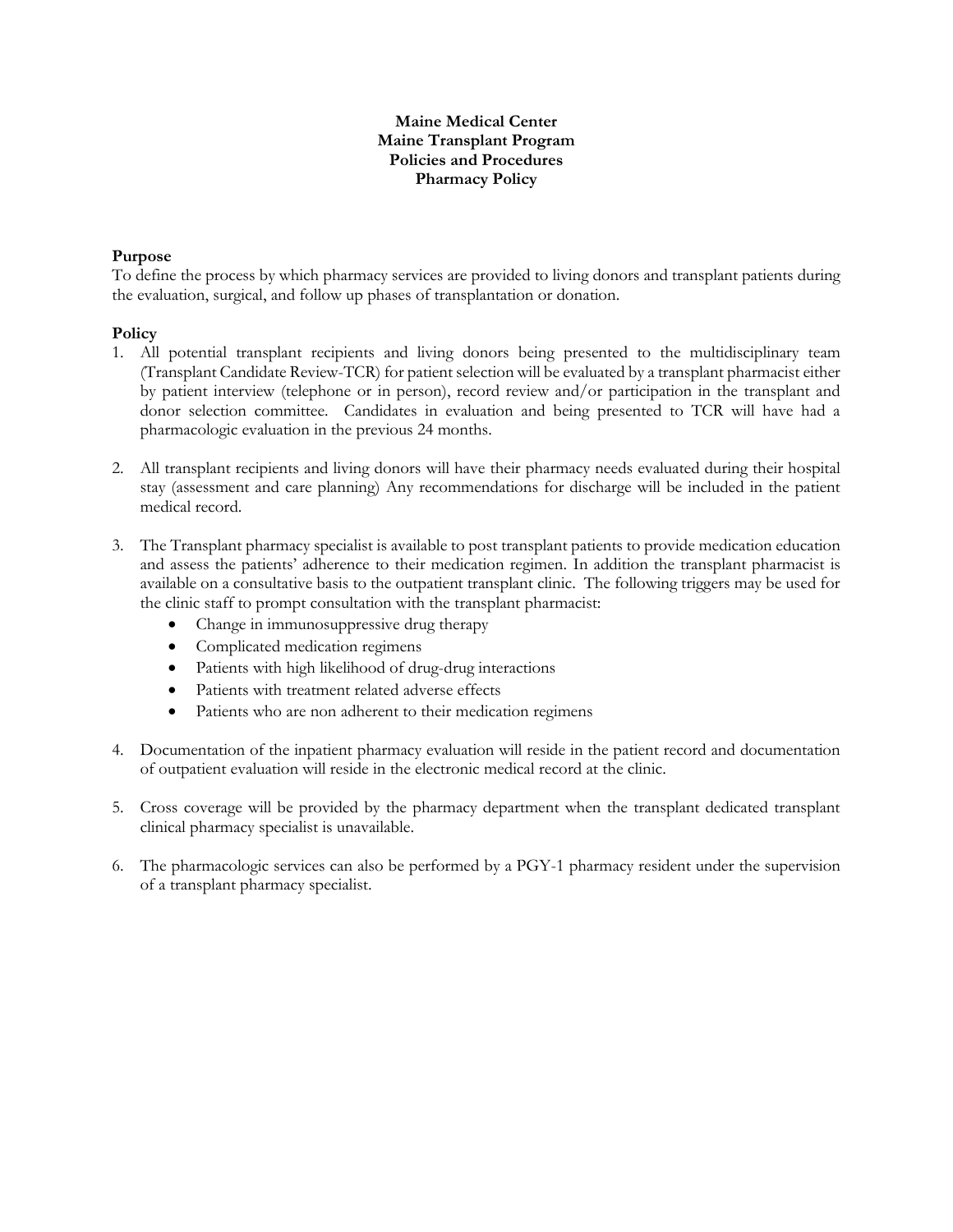## **Maine Medical Center Maine Transplant Program Policies and Procedures Pharmacy Policy**

## **Purpose**

To define the process by which pharmacy services are provided to living donors and transplant patients during the evaluation, surgical, and follow up phases of transplantation or donation.

#### **Policy**

- 1. All potential transplant recipients and living donors being presented to the multidisciplinary team (Transplant Candidate Review-TCR) for patient selection will be evaluated by a transplant pharmacist either by patient interview (telephone or in person), record review and/or participation in the transplant and donor selection committee. Candidates in evaluation and being presented to TCR will have had a pharmacologic evaluation in the previous 24 months.
- 2. All transplant recipients and living donors will have their pharmacy needs evaluated during their hospital stay (assessment and care planning) Any recommendations for discharge will be included in the patient medical record.
- 3. The Transplant pharmacy specialist is available to post transplant patients to provide medication education and assess the patients' adherence to their medication regimen. In addition the transplant pharmacist is available on a consultative basis to the outpatient transplant clinic. The following triggers may be used for the clinic staff to prompt consultation with the transplant pharmacist:
	- Change in immunosuppressive drug therapy
	- Complicated medication regimens
	- Patients with high likelihood of drug-drug interactions
	- Patients with treatment related adverse effects
	- Patients who are non adherent to their medication regimens
- 4. Documentation of the inpatient pharmacy evaluation will reside in the patient record and documentation of outpatient evaluation will reside in the electronic medical record at the clinic.
- 5. Cross coverage will be provided by the pharmacy department when the transplant dedicated transplant clinical pharmacy specialist is unavailable.
- 6. The pharmacologic services can also be performed by a PGY-1 pharmacy resident under the supervision of a transplant pharmacy specialist.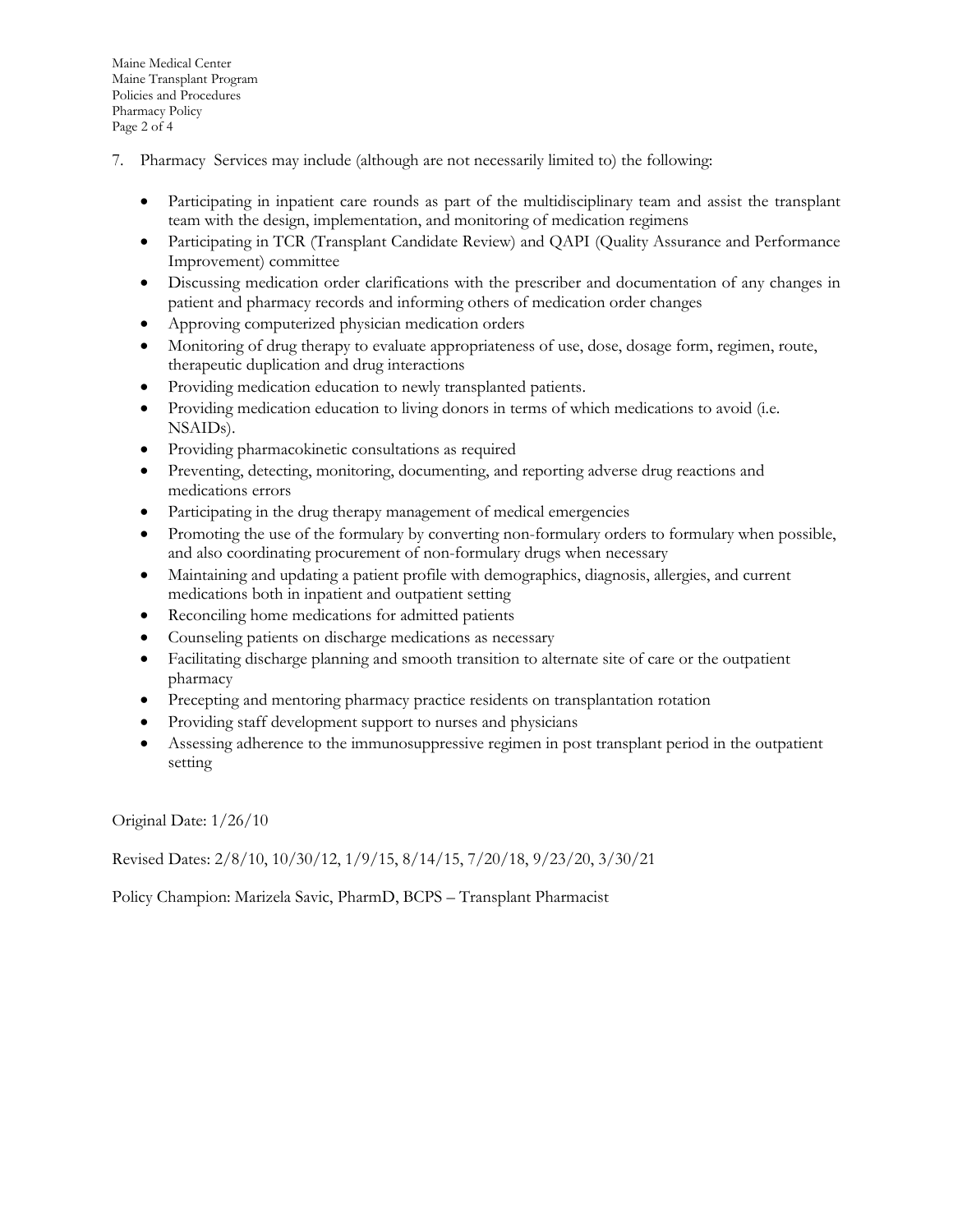Maine Medical Center Maine Transplant Program Policies and Procedures Pharmacy Policy Page 2 of 4

- 7. Pharmacy Services may include (although are not necessarily limited to) the following:
	- Participating in inpatient care rounds as part of the multidisciplinary team and assist the transplant team with the design, implementation, and monitoring of medication regimens
	- Participating in TCR (Transplant Candidate Review) and QAPI (Quality Assurance and Performance Improvement) committee
	- Discussing medication order clarifications with the prescriber and documentation of any changes in patient and pharmacy records and informing others of medication order changes
	- Approving computerized physician medication orders
	- Monitoring of drug therapy to evaluate appropriateness of use, dose, dosage form, regimen, route, therapeutic duplication and drug interactions
	- Providing medication education to newly transplanted patients.
	- Providing medication education to living donors in terms of which medications to avoid (i.e. NSAIDs).
	- Providing pharmacokinetic consultations as required
	- Preventing, detecting, monitoring, documenting, and reporting adverse drug reactions and medications errors
	- Participating in the drug therapy management of medical emergencies
	- Promoting the use of the formulary by converting non-formulary orders to formulary when possible, and also coordinating procurement of non-formulary drugs when necessary
	- Maintaining and updating a patient profile with demographics, diagnosis, allergies, and current medications both in inpatient and outpatient setting
	- Reconciling home medications for admitted patients
	- Counseling patients on discharge medications as necessary
	- Facilitating discharge planning and smooth transition to alternate site of care or the outpatient pharmacy
	- Precepting and mentoring pharmacy practice residents on transplantation rotation
	- Providing staff development support to nurses and physicians
	- Assessing adherence to the immunosuppressive regimen in post transplant period in the outpatient setting

Original Date: 1/26/10

Revised Dates: 2/8/10, 10/30/12, 1/9/15, 8/14/15, 7/20/18, 9/23/20, 3/30/21

Policy Champion: Marizela Savic, PharmD, BCPS – Transplant Pharmacist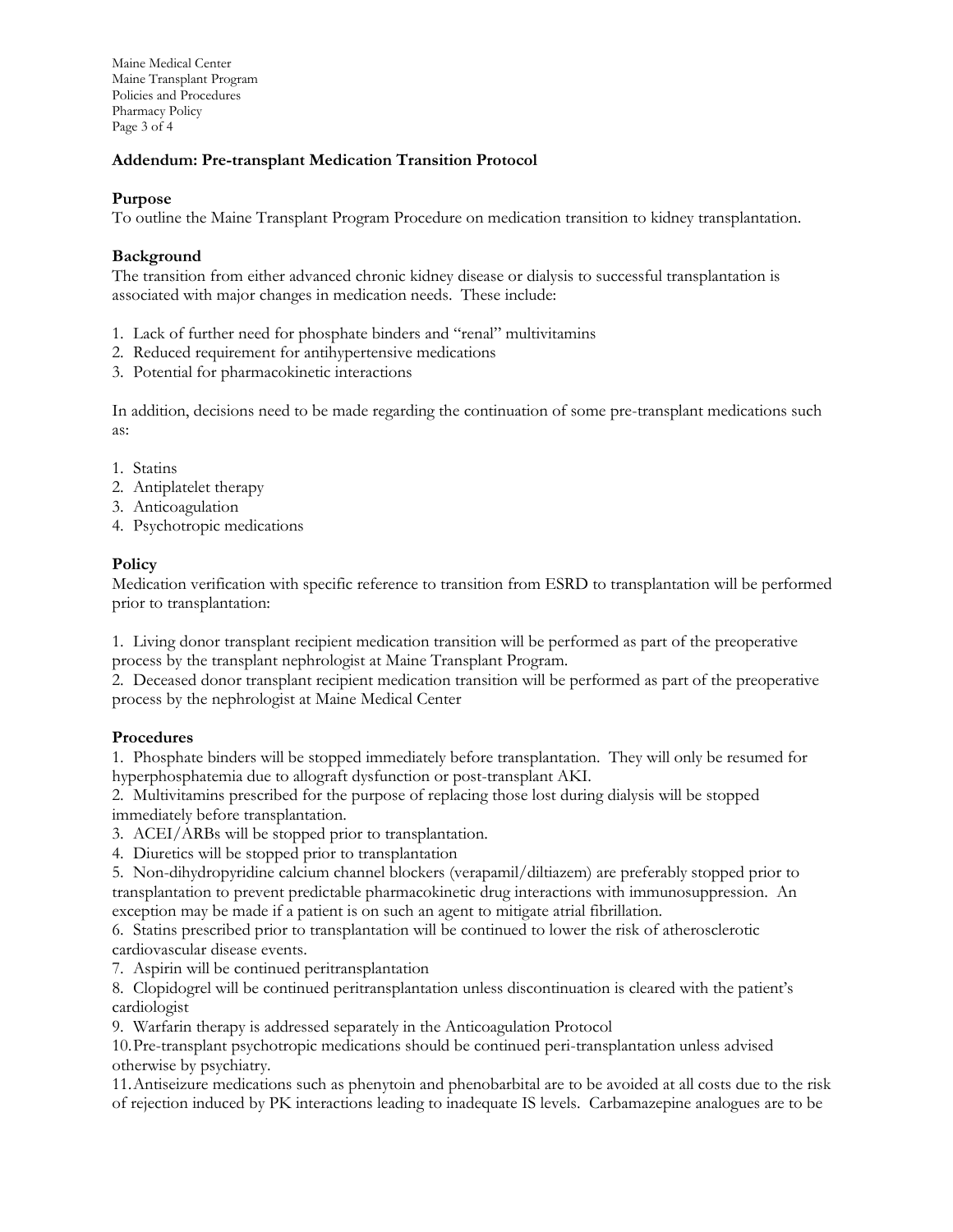Maine Medical Center Maine Transplant Program Policies and Procedures Pharmacy Policy Page 3 of 4

# **Addendum: Pre-transplant Medication Transition Protocol**

## **Purpose**

To outline the Maine Transplant Program Procedure on medication transition to kidney transplantation.

#### **Background**

The transition from either advanced chronic kidney disease or dialysis to successful transplantation is associated with major changes in medication needs. These include:

- 1. Lack of further need for phosphate binders and "renal" multivitamins
- 2. Reduced requirement for antihypertensive medications
- 3. Potential for pharmacokinetic interactions

In addition, decisions need to be made regarding the continuation of some pre-transplant medications such as:

- 1. Statins
- 2. Antiplatelet therapy
- 3. Anticoagulation
- 4. Psychotropic medications

# **Policy**

Medication verification with specific reference to transition from ESRD to transplantation will be performed prior to transplantation:

1. Living donor transplant recipient medication transition will be performed as part of the preoperative process by the transplant nephrologist at Maine Transplant Program.

2. Deceased donor transplant recipient medication transition will be performed as part of the preoperative process by the nephrologist at Maine Medical Center

#### **Procedures**

1. Phosphate binders will be stopped immediately before transplantation. They will only be resumed for hyperphosphatemia due to allograft dysfunction or post-transplant AKI.

2. Multivitamins prescribed for the purpose of replacing those lost during dialysis will be stopped immediately before transplantation.

3. ACEI/ARBs will be stopped prior to transplantation.

4. Diuretics will be stopped prior to transplantation

5. Non-dihydropyridine calcium channel blockers (verapamil/diltiazem) are preferably stopped prior to transplantation to prevent predictable pharmacokinetic drug interactions with immunosuppression. An exception may be made if a patient is on such an agent to mitigate atrial fibrillation.

6. Statins prescribed prior to transplantation will be continued to lower the risk of atherosclerotic cardiovascular disease events.

7. Aspirin will be continued peritransplantation

8. Clopidogrel will be continued peritransplantation unless discontinuation is cleared with the patient's cardiologist

9. Warfarin therapy is addressed separately in the Anticoagulation Protocol

10.Pre-transplant psychotropic medications should be continued peri-transplantation unless advised otherwise by psychiatry.

11.Antiseizure medications such as phenytoin and phenobarbital are to be avoided at all costs due to the risk of rejection induced by PK interactions leading to inadequate IS levels. Carbamazepine analogues are to be